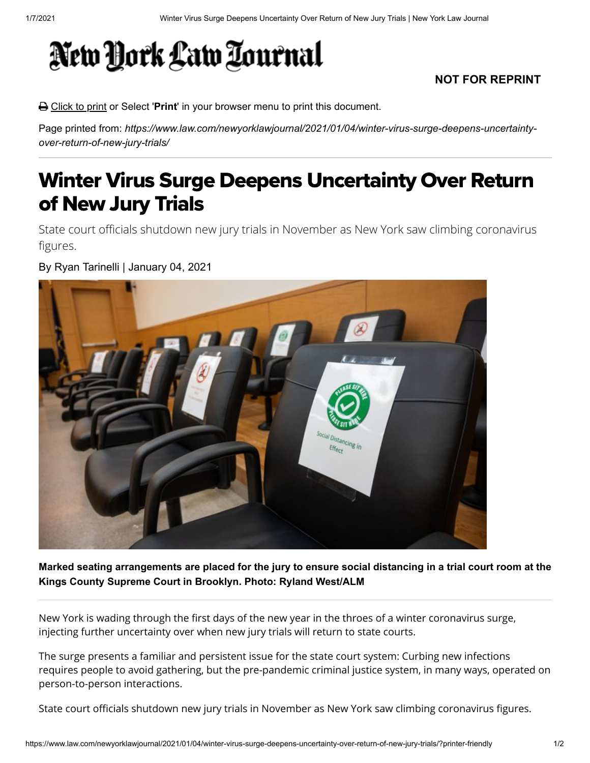## New York Law Tournal

## **NOT FOR REPRINT**

Click to print or Select '**Print**' in your browser menu to print this document.

Page printed from: *https://www.law.com/newyorklawjournal/2021/01/04/winter-virus-surge-deepens-uncertaintyover-return-of-new-jury-trials/*

## Winter Virus Surge Deepens Uncertainty Over Return of New Jury Trials

State court officials shutdown new jury trials in November as New York saw climbing coronavirus figures.

By Ryan Tarinelli | January 04, 2021



**Marked seating arrangements are placed for the jury to ensure social distancing in a trial court room at the Kings County Supreme Court in Brooklyn. Photo: Ryland West/ALM**

New York is wading through the first days of the new year in the throes of a winter coronavirus surge, injecting further uncertainty over when new jury trials will return to state courts.

The surge presents a familiar and persistent issue for the state court system: Curbing new infections requires people to avoid gathering, but the pre-pandemic criminal justice system, in many ways, operated on person-to-person interactions.

State court officials shutdown new jury trials in November as New York saw climbing coronavirus figures.